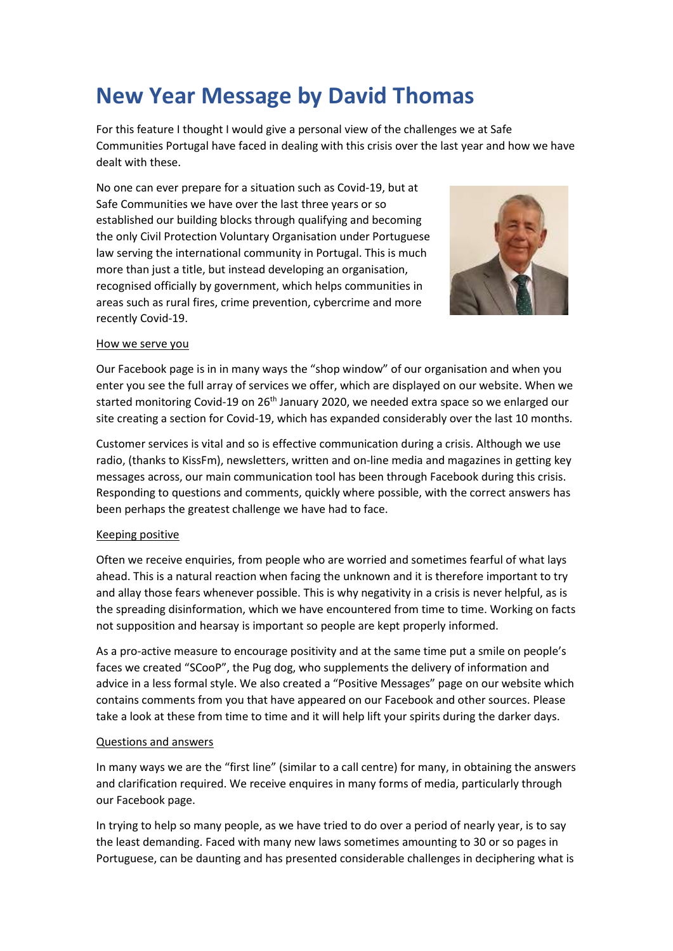# **New Year Message by David Thomas**

For this feature I thought I would give a personal view of the challenges we at Safe Communities Portugal have faced in dealing with this crisis over the last year and how we have dealt with these.

No one can ever prepare for a situation such as Covid-19, but at Safe Communities we have over the last three years or so established our building blocks through qualifying and becoming the only Civil Protection Voluntary Organisation under Portuguese law serving the international community in Portugal. This is much more than just a title, but instead developing an organisation, recognised officially by government, which helps communities in areas such as rural fires, crime prevention, cybercrime and more recently Covid-19.



## How we serve you

Our Facebook page is in in many ways the "shop window" of our organisation and when you enter you see the full array of services we offer, which are displayed on our website. When we started monitoring Covid-19 on 26<sup>th</sup> January 2020, we needed extra space so we enlarged our site creating a section for Covid-19, which has expanded considerably over the last 10 months.

Customer services is vital and so is effective communication during a crisis. Although we use radio, (thanks to KissFm), newsletters, written and on-line media and magazines in getting key messages across, our main communication tool has been through Facebook during this crisis. Responding to questions and comments, quickly where possible, with the correct answers has been perhaps the greatest challenge we have had to face.

#### Keeping positive

Often we receive enquiries, from people who are worried and sometimes fearful of what lays ahead. This is a natural reaction when facing the unknown and it is therefore important to try and allay those fears whenever possible. This is why negativity in a crisis is never helpful, as is the spreading disinformation, which we have encountered from time to time. Working on facts not supposition and hearsay is important so people are kept properly informed.

As a pro-active measure to encourage positivity and at the same time put a smile on people's faces we created "SCooP", the Pug dog, who supplements the delivery of information and advice in a less formal style. We also created a "Positive Messages" page on our website which contains comments from you that have appeared on our Facebook and other sources. Please take a look at these from time to time and it will help lift your spirits during the darker days.

#### Questions and answers

In many ways we are the "first line" (similar to a call centre) for many, in obtaining the answers and clarification required. We receive enquires in many forms of media, particularly through our Facebook page.

In trying to help so many people, as we have tried to do over a period of nearly year, is to say the least demanding. Faced with many new laws sometimes amounting to 30 or so pages in Portuguese, can be daunting and has presented considerable challenges in deciphering what is